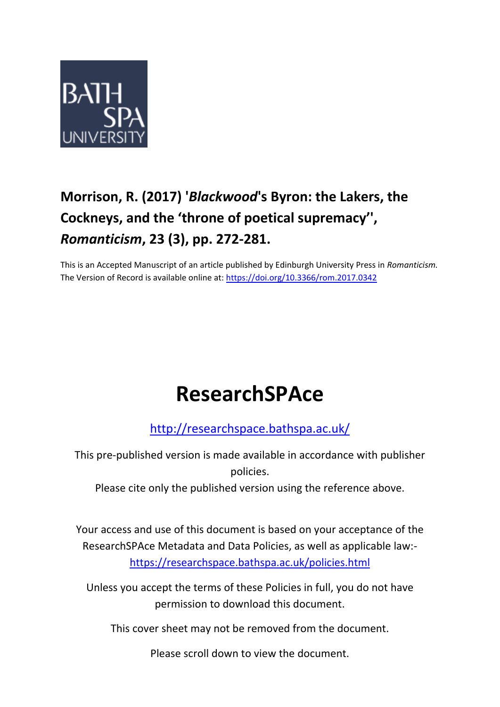

# **Morrison, R. (2017) '***Blackwood***'s Byron: the Lakers, the Cockneys, and the 'throne of poetical supremacy'' ,**  *Romanticism***, 23 (3), pp. 272-281.**

This is an Accepted Manuscript of an article published by Edinburgh University Press in *Romanticism.*  The Version of Record is available online at:<https://doi.org/10.3366/rom.2017.0342>

# **ResearchSPAce**

<http://researchspace.bathspa.ac.uk/>

This pre-published version is made available in accordance with publisher policies.

Please cite only the published version using the reference above.

Your access and use of this document is based on your acceptance of the ResearchSPAce Metadata and Data Policies, as well as applicable law: https://researchspace.bathspa.ac.uk/policies.html

Unless you accept the terms of these Policies in full, you do not have permission to download this document.

This cover sheet may not be removed from the document.

Please scroll down to view the document.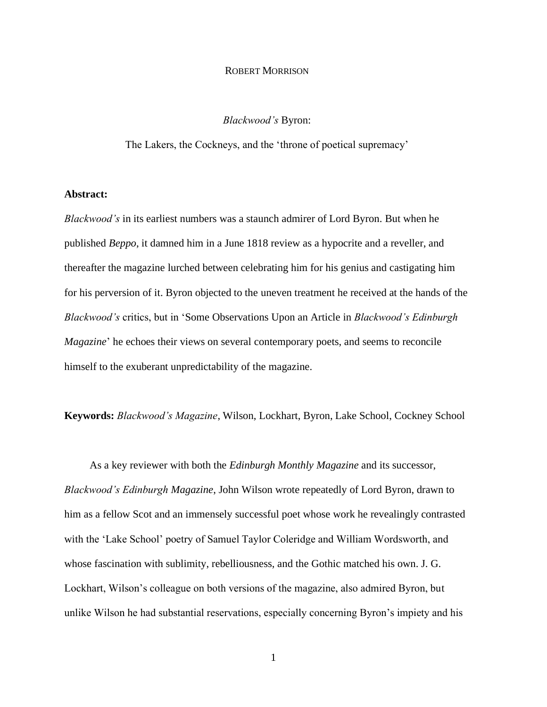## ROBERT MORRISON

*Blackwood's* Byron:

The Lakers, the Cockneys, and the 'throne of poetical supremacy'

### **Abstract:**

*Blackwood's* in its earliest numbers was a staunch admirer of Lord Byron. But when he published *Beppo*, it damned him in a June 1818 review as a hypocrite and a reveller, and thereafter the magazine lurched between celebrating him for his genius and castigating him for his perversion of it. Byron objected to the uneven treatment he received at the hands of the *Blackwood's* critics, but in 'Some Observations Upon an Article in *Blackwood's Edinburgh Magazine*' he echoes their views on several contemporary poets, and seems to reconcile himself to the exuberant unpredictability of the magazine.

**Keywords:** *Blackwood's Magazine*, Wilson, Lockhart, Byron, Lake School, Cockney School

As a key reviewer with both the *Edinburgh Monthly Magazine* and its successor, *Blackwood's Edinburgh Magazine*, John Wilson wrote repeatedly of Lord Byron, drawn to him as a fellow Scot and an immensely successful poet whose work he revealingly contrasted with the 'Lake School' poetry of Samuel Taylor Coleridge and William Wordsworth, and whose fascination with sublimity, rebelliousness, and the Gothic matched his own. J. G. Lockhart, Wilson's colleague on both versions of the magazine, also admired Byron, but unlike Wilson he had substantial reservations, especially concerning Byron's impiety and his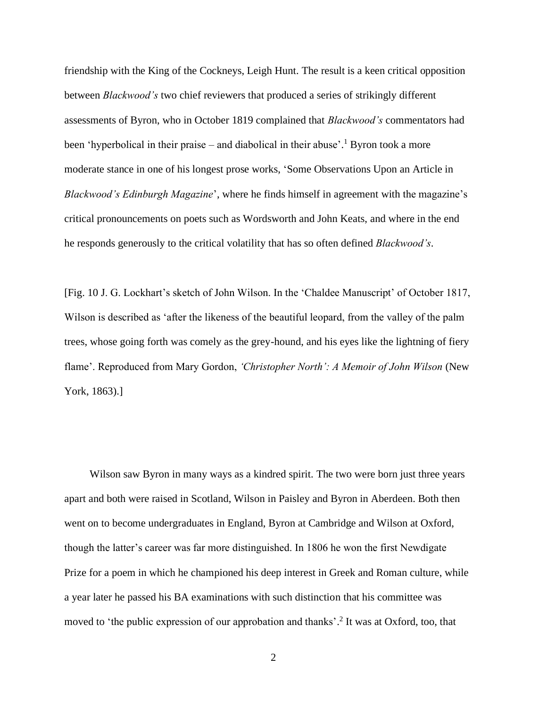friendship with the King of the Cockneys, Leigh Hunt. The result is a keen critical opposition between *Blackwood's* two chief reviewers that produced a series of strikingly different assessments of Byron, who in October 1819 complained that *Blackwood's* commentators had been 'hyperbolical in their praise – and diabolical in their abuse'.<sup>1</sup> Byron took a more moderate stance in one of his longest prose works, 'Some Observations Upon an Article in *Blackwood's Edinburgh Magazine*', where he finds himself in agreement with the magazine's critical pronouncements on poets such as Wordsworth and John Keats, and where in the end he responds generously to the critical volatility that has so often defined *Blackwood's*.

[Fig. 10 J. G. Lockhart's sketch of John Wilson. In the 'Chaldee Manuscript' of October 1817, Wilson is described as 'after the likeness of the beautiful leopard, from the valley of the palm trees, whose going forth was comely as the grey-hound, and his eyes like the lightning of fiery flame'. Reproduced from Mary Gordon, *'Christopher North': A Memoir of John Wilson* (New York, 1863).]

Wilson saw Byron in many ways as a kindred spirit. The two were born just three years apart and both were raised in Scotland, Wilson in Paisley and Byron in Aberdeen. Both then went on to become undergraduates in England, Byron at Cambridge and Wilson at Oxford, though the latter's career was far more distinguished. In 1806 he won the first Newdigate Prize for a poem in which he championed his deep interest in Greek and Roman culture, while a year later he passed his BA examinations with such distinction that his committee was moved to 'the public expression of our approbation and thanks'.<sup>2</sup> It was at Oxford, too, that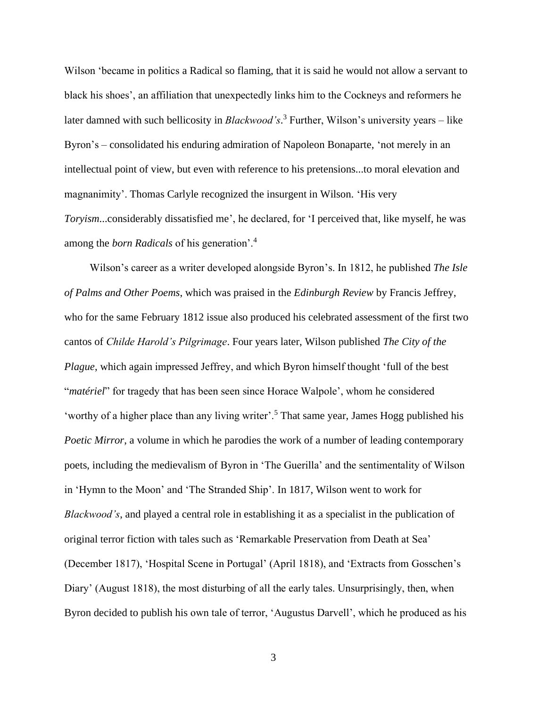Wilson 'became in politics a Radical so flaming, that it is said he would not allow a servant to black his shoes', an affiliation that unexpectedly links him to the Cockneys and reformers he later damned with such bellicosity in *Blackwood's*. <sup>3</sup> Further, Wilson's university years – like Byron's – consolidated his enduring admiration of Napoleon Bonaparte, 'not merely in an intellectual point of view, but even with reference to his pretensions...to moral elevation and magnanimity'. Thomas Carlyle recognized the insurgent in Wilson. 'His very *Toryism*...considerably dissatisfied me', he declared, for 'I perceived that, like myself, he was among the *born Radicals* of his generation'.<sup>4</sup>

Wilson's career as a writer developed alongside Byron's. In 1812, he published *The Isle of Palms and Other Poems*, which was praised in the *Edinburgh Review* by Francis Jeffrey, who for the same February 1812 issue also produced his celebrated assessment of the first two cantos of *Childe Harold's Pilgrimage*. Four years later, Wilson published *The City of the Plague*, which again impressed Jeffrey, and which Byron himself thought 'full of the best "*matériel*" for tragedy that has been seen since Horace Walpole', whom he considered 'worthy of a higher place than any living writer'.<sup>5</sup> That same year, James Hogg published his *Poetic Mirror*, a volume in which he parodies the work of a number of leading contemporary poets, including the medievalism of Byron in 'The Guerilla' and the sentimentality of Wilson in 'Hymn to the Moon' and 'The Stranded Ship'. In 1817, Wilson went to work for *Blackwood's*, and played a central role in establishing it as a specialist in the publication of original terror fiction with tales such as 'Remarkable Preservation from Death at Sea' (December 1817), 'Hospital Scene in Portugal' (April 1818), and 'Extracts from Gosschen's Diary' (August 1818), the most disturbing of all the early tales. Unsurprisingly, then, when Byron decided to publish his own tale of terror, 'Augustus Darvell', which he produced as his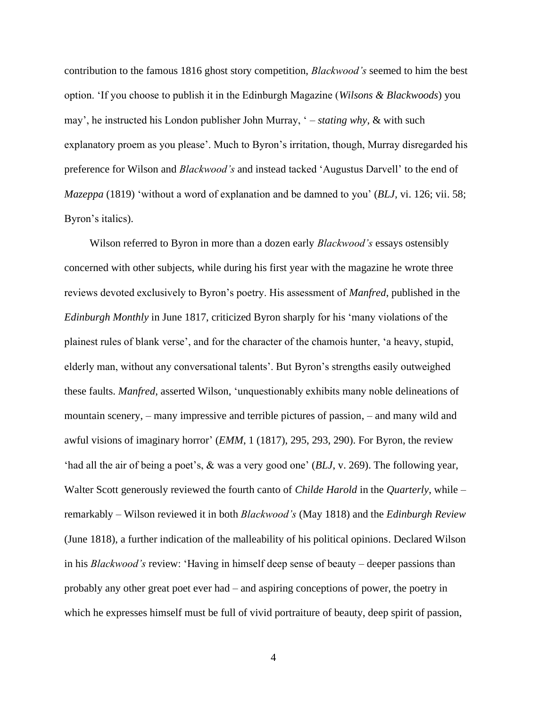contribution to the famous 1816 ghost story competition, *Blackwood's* seemed to him the best option. 'If you choose to publish it in the Edinburgh Magazine (*Wilsons & Blackwoods*) you may', he instructed his London publisher John Murray, ' – *stating why*, & with such explanatory proem as you please'. Much to Byron's irritation, though, Murray disregarded his preference for Wilson and *Blackwood's* and instead tacked 'Augustus Darvell' to the end of *Mazeppa* (1819) 'without a word of explanation and be damned to you' (*BLJ*, vi. 126; vii. 58; Byron's italics).

Wilson referred to Byron in more than a dozen early *Blackwood's* essays ostensibly concerned with other subjects, while during his first year with the magazine he wrote three reviews devoted exclusively to Byron's poetry. His assessment of *Manfred*, published in the *Edinburgh Monthly* in June 1817, criticized Byron sharply for his 'many violations of the plainest rules of blank verse', and for the character of the chamois hunter, 'a heavy, stupid, elderly man, without any conversational talents'. But Byron's strengths easily outweighed these faults. *Manfred*, asserted Wilson, 'unquestionably exhibits many noble delineations of mountain scenery, – many impressive and terrible pictures of passion, – and many wild and awful visions of imaginary horror' (*EMM*, 1 (1817), 295, 293, 290). For Byron, the review 'had all the air of being a poet's, & was a very good one' (*BLJ*, v. 269). The following year, Walter Scott generously reviewed the fourth canto of *Childe Harold* in the *Quarterly*, while – remarkably – Wilson reviewed it in both *Blackwood's* (May 1818) and the *Edinburgh Review*  (June 1818), a further indication of the malleability of his political opinions. Declared Wilson in his *Blackwood's* review: 'Having in himself deep sense of beauty – deeper passions than probably any other great poet ever had – and aspiring conceptions of power, the poetry in which he expresses himself must be full of vivid portraiture of beauty, deep spirit of passion,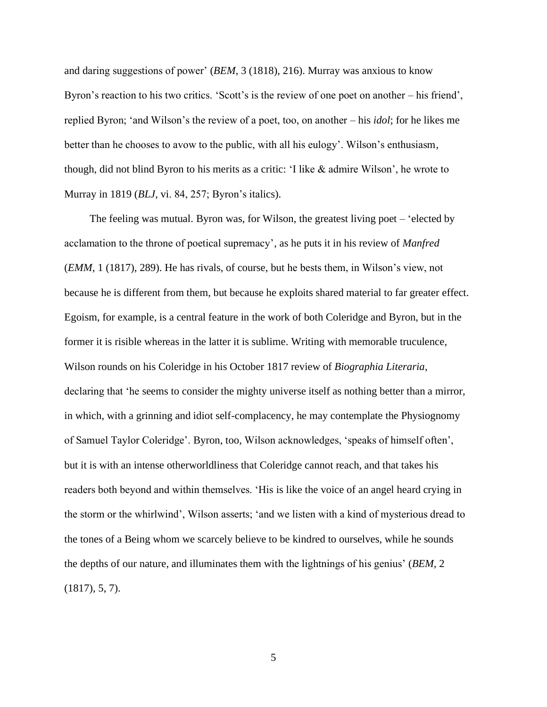and daring suggestions of power' (*BEM*, 3 (1818), 216). Murray was anxious to know Byron's reaction to his two critics. 'Scott's is the review of one poet on another – his friend', replied Byron; 'and Wilson's the review of a poet, too, on another – his *idol*; for he likes me better than he chooses to avow to the public, with all his eulogy'. Wilson's enthusiasm, though, did not blind Byron to his merits as a critic: 'I like & admire Wilson', he wrote to Murray in 1819 (*BLJ*, vi. 84, 257; Byron's italics).

The feeling was mutual. Byron was, for Wilson, the greatest living poet – 'elected by acclamation to the throne of poetical supremacy', as he puts it in his review of *Manfred* (*EMM*, 1 (1817), 289). He has rivals, of course, but he bests them, in Wilson's view, not because he is different from them, but because he exploits shared material to far greater effect. Egoism, for example, is a central feature in the work of both Coleridge and Byron, but in the former it is risible whereas in the latter it is sublime. Writing with memorable truculence, Wilson rounds on his Coleridge in his October 1817 review of *Biographia Literaria*, declaring that 'he seems to consider the mighty universe itself as nothing better than a mirror, in which, with a grinning and idiot self-complacency, he may contemplate the Physiognomy of Samuel Taylor Coleridge'. Byron, too, Wilson acknowledges, 'speaks of himself often', but it is with an intense otherworldliness that Coleridge cannot reach, and that takes his readers both beyond and within themselves. 'His is like the voice of an angel heard crying in the storm or the whirlwind', Wilson asserts; 'and we listen with a kind of mysterious dread to the tones of a Being whom we scarcely believe to be kindred to ourselves, while he sounds the depths of our nature, and illuminates them with the lightnings of his genius' (*BEM*, 2 (1817), 5, 7).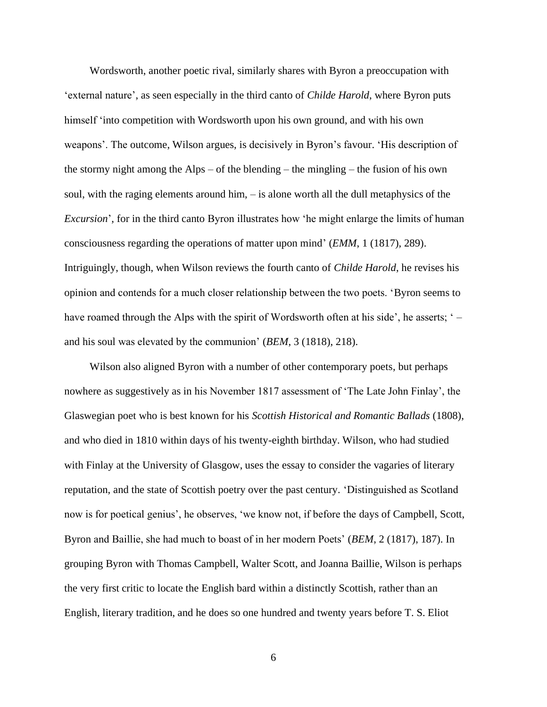Wordsworth, another poetic rival, similarly shares with Byron a preoccupation with 'external nature', as seen especially in the third canto of *Childe Harold*, where Byron puts himself 'into competition with Wordsworth upon his own ground, and with his own weapons'. The outcome, Wilson argues, is decisively in Byron's favour. 'His description of the stormy night among the Alps – of the blending – the mingling – the fusion of his own soul, with the raging elements around him, – is alone worth all the dull metaphysics of the *Excursion*', for in the third canto Byron illustrates how 'he might enlarge the limits of human consciousness regarding the operations of matter upon mind' (*EMM*, 1 (1817), 289). Intriguingly, though, when Wilson reviews the fourth canto of *Childe Harold*, he revises his opinion and contends for a much closer relationship between the two poets. 'Byron seems to have roamed through the Alps with the spirit of Wordsworth often at his side', he asserts; ' – and his soul was elevated by the communion' (*BEM*, 3 (1818), 218).

Wilson also aligned Byron with a number of other contemporary poets, but perhaps nowhere as suggestively as in his November 1817 assessment of 'The Late John Finlay', the Glaswegian poet who is best known for his *Scottish Historical and Romantic Ballads* (1808), and who died in 1810 within days of his twenty-eighth birthday. Wilson, who had studied with Finlay at the University of Glasgow, uses the essay to consider the vagaries of literary reputation, and the state of Scottish poetry over the past century. 'Distinguished as Scotland now is for poetical genius', he observes, 'we know not, if before the days of Campbell, Scott, Byron and Baillie, she had much to boast of in her modern Poets' (*BEM*, 2 (1817), 187). In grouping Byron with Thomas Campbell, Walter Scott, and Joanna Baillie, Wilson is perhaps the very first critic to locate the English bard within a distinctly Scottish, rather than an English, literary tradition, and he does so one hundred and twenty years before T. S. Eliot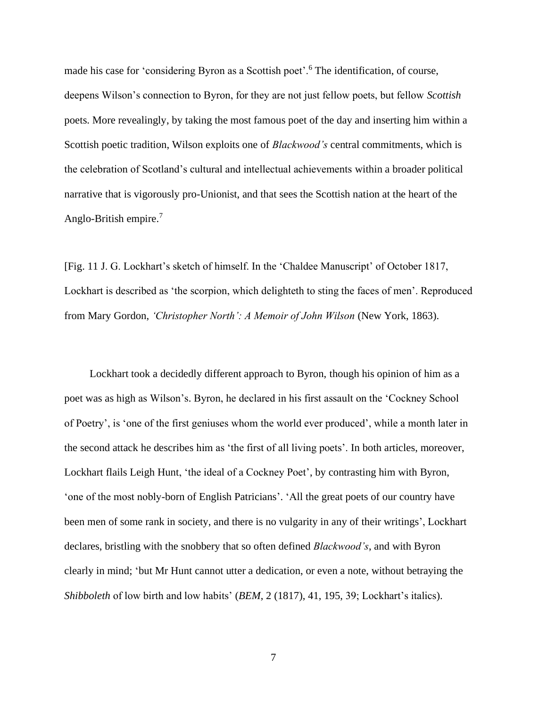made his case for 'considering Byron as a Scottish poet'.<sup>6</sup> The identification, of course, deepens Wilson's connection to Byron, for they are not just fellow poets, but fellow *Scottish* poets. More revealingly, by taking the most famous poet of the day and inserting him within a Scottish poetic tradition, Wilson exploits one of *Blackwood's* central commitments, which is the celebration of Scotland's cultural and intellectual achievements within a broader political narrative that is vigorously pro-Unionist, and that sees the Scottish nation at the heart of the Anglo-British empire.<sup>7</sup>

[Fig. 11 J. G. Lockhart's sketch of himself. In the 'Chaldee Manuscript' of October 1817, Lockhart is described as 'the scorpion, which delighteth to sting the faces of men'. Reproduced from Mary Gordon, *'Christopher North': A Memoir of John Wilson* (New York, 1863).

Lockhart took a decidedly different approach to Byron, though his opinion of him as a poet was as high as Wilson's. Byron, he declared in his first assault on the 'Cockney School of Poetry', is 'one of the first geniuses whom the world ever produced', while a month later in the second attack he describes him as 'the first of all living poets'. In both articles, moreover, Lockhart flails Leigh Hunt, 'the ideal of a Cockney Poet', by contrasting him with Byron, 'one of the most nobly-born of English Patricians'. 'All the great poets of our country have been men of some rank in society, and there is no vulgarity in any of their writings', Lockhart declares, bristling with the snobbery that so often defined *Blackwood's*, and with Byron clearly in mind; 'but Mr Hunt cannot utter a dedication, or even a note, without betraying the *Shibboleth* of low birth and low habits' (*BEM*, 2 (1817), 41, 195, 39; Lockhart's italics).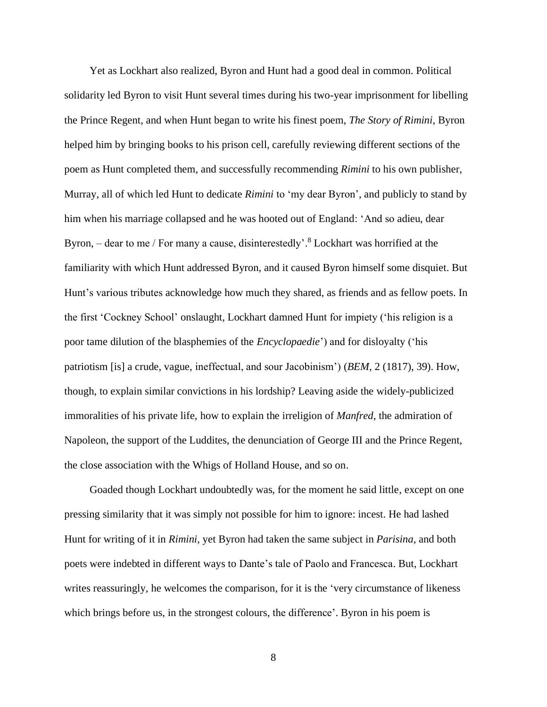Yet as Lockhart also realized, Byron and Hunt had a good deal in common. Political solidarity led Byron to visit Hunt several times during his two-year imprisonment for libelling the Prince Regent, and when Hunt began to write his finest poem, *The Story of Rimini*, Byron helped him by bringing books to his prison cell, carefully reviewing different sections of the poem as Hunt completed them, and successfully recommending *Rimini* to his own publisher, Murray, all of which led Hunt to dedicate *Rimini* to 'my dear Byron', and publicly to stand by him when his marriage collapsed and he was hooted out of England: 'And so adieu, dear Byron, – dear to me / For many a cause, disinterestedly'.<sup>8</sup> Lockhart was horrified at the familiarity with which Hunt addressed Byron, and it caused Byron himself some disquiet. But Hunt's various tributes acknowledge how much they shared, as friends and as fellow poets. In the first 'Cockney School' onslaught, Lockhart damned Hunt for impiety ('his religion is a poor tame dilution of the blasphemies of the *Encyclopaedie*') and for disloyalty ('his patriotism [is] a crude, vague, ineffectual, and sour Jacobinism') (*BEM*, 2 (1817), 39). How, though, to explain similar convictions in his lordship? Leaving aside the widely-publicized immoralities of his private life, how to explain the irreligion of *Manfred*, the admiration of Napoleon, the support of the Luddites, the denunciation of George III and the Prince Regent, the close association with the Whigs of Holland House, and so on.

Goaded though Lockhart undoubtedly was, for the moment he said little, except on one pressing similarity that it was simply not possible for him to ignore: incest. He had lashed Hunt for writing of it in *Rimini*, yet Byron had taken the same subject in *Parisina*, and both poets were indebted in different ways to Dante's tale of Paolo and Francesca. But, Lockhart writes reassuringly, he welcomes the comparison, for it is the 'very circumstance of likeness which brings before us, in the strongest colours, the difference'. Byron in his poem is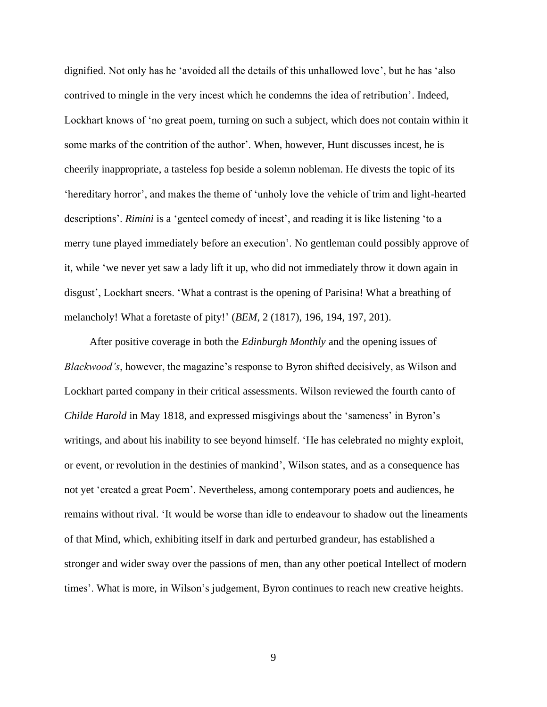dignified. Not only has he 'avoided all the details of this unhallowed love', but he has 'also contrived to mingle in the very incest which he condemns the idea of retribution'. Indeed, Lockhart knows of 'no great poem, turning on such a subject, which does not contain within it some marks of the contrition of the author'. When, however, Hunt discusses incest, he is cheerily inappropriate, a tasteless fop beside a solemn nobleman. He divests the topic of its 'hereditary horror', and makes the theme of 'unholy love the vehicle of trim and light-hearted descriptions'. *Rimini* is a 'genteel comedy of incest', and reading it is like listening 'to a merry tune played immediately before an execution'. No gentleman could possibly approve of it, while 'we never yet saw a lady lift it up, who did not immediately throw it down again in disgust', Lockhart sneers. 'What a contrast is the opening of Parisina! What a breathing of melancholy! What a foretaste of pity!' (*BEM*, 2 (1817), 196, 194, 197, 201).

After positive coverage in both the *Edinburgh Monthly* and the opening issues of *Blackwood's*, however, the magazine's response to Byron shifted decisively, as Wilson and Lockhart parted company in their critical assessments. Wilson reviewed the fourth canto of *Childe Harold* in May 1818, and expressed misgivings about the 'sameness' in Byron's writings, and about his inability to see beyond himself. 'He has celebrated no mighty exploit, or event, or revolution in the destinies of mankind', Wilson states, and as a consequence has not yet 'created a great Poem'. Nevertheless, among contemporary poets and audiences, he remains without rival. 'It would be worse than idle to endeavour to shadow out the lineaments of that Mind, which, exhibiting itself in dark and perturbed grandeur, has established a stronger and wider sway over the passions of men, than any other poetical Intellect of modern times'. What is more, in Wilson's judgement, Byron continues to reach new creative heights.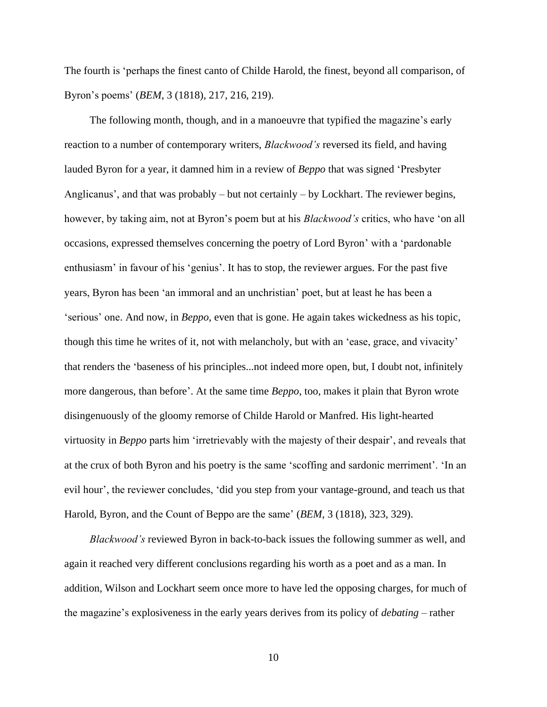The fourth is 'perhaps the finest canto of Childe Harold, the finest, beyond all comparison, of Byron's poems' (*BEM*, 3 (1818), 217, 216, 219).

The following month, though, and in a manoeuvre that typified the magazine's early reaction to a number of contemporary writers, *Blackwood's* reversed its field, and having lauded Byron for a year, it damned him in a review of *Beppo* that was signed 'Presbyter Anglicanus', and that was probably – but not certainly – by Lockhart. The reviewer begins, however, by taking aim, not at Byron's poem but at his *Blackwood's* critics, who have 'on all occasions, expressed themselves concerning the poetry of Lord Byron' with a 'pardonable enthusiasm' in favour of his 'genius'. It has to stop, the reviewer argues. For the past five years, Byron has been 'an immoral and an unchristian' poet, but at least he has been a 'serious' one. And now, in *Beppo*, even that is gone. He again takes wickedness as his topic, though this time he writes of it, not with melancholy, but with an 'ease, grace, and vivacity' that renders the 'baseness of his principles...not indeed more open, but, I doubt not, infinitely more dangerous, than before'. At the same time *Beppo*, too, makes it plain that Byron wrote disingenuously of the gloomy remorse of Childe Harold or Manfred. His light-hearted virtuosity in *Beppo* parts him 'irretrievably with the majesty of their despair', and reveals that at the crux of both Byron and his poetry is the same 'scoffing and sardonic merriment'. 'In an evil hour', the reviewer concludes, 'did you step from your vantage-ground, and teach us that Harold, Byron, and the Count of Beppo are the same' (*BEM*, 3 (1818), 323, 329).

*Blackwood's* reviewed Byron in back-to-back issues the following summer as well, and again it reached very different conclusions regarding his worth as a poet and as a man. In addition, Wilson and Lockhart seem once more to have led the opposing charges, for much of the magazine's explosiveness in the early years derives from its policy of *debating* – rather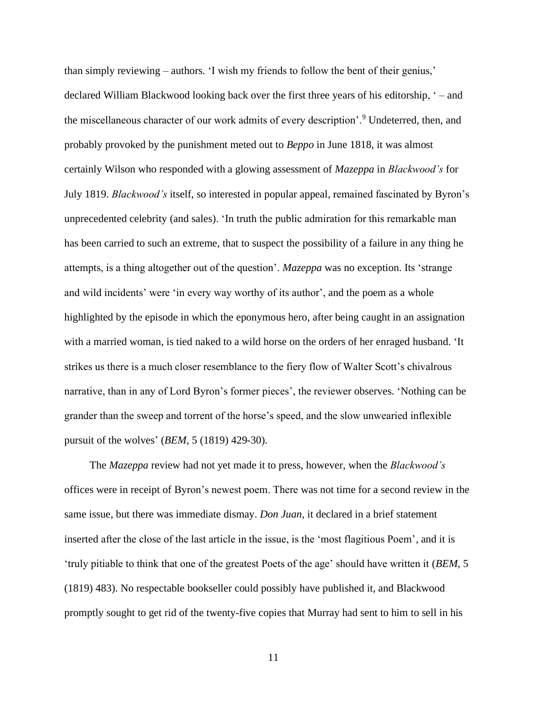than simply reviewing – authors. 'I wish my friends to follow the bent of their genius,' declared William Blackwood looking back over the first three years of his editorship, ' – and the miscellaneous character of our work admits of every description'.<sup>9</sup> Undeterred, then, and probably provoked by the punishment meted out to *Beppo* in June 1818, it was almost certainly Wilson who responded with a glowing assessment of *Mazeppa* in *Blackwood's* for July 1819. *Blackwood's* itself, so interested in popular appeal, remained fascinated by Byron's unprecedented celebrity (and sales). 'In truth the public admiration for this remarkable man has been carried to such an extreme, that to suspect the possibility of a failure in any thing he attempts, is a thing altogether out of the question'. *Mazeppa* was no exception. Its 'strange and wild incidents' were 'in every way worthy of its author', and the poem as a whole highlighted by the episode in which the eponymous hero, after being caught in an assignation with a married woman, is tied naked to a wild horse on the orders of her enraged husband. 'It strikes us there is a much closer resemblance to the fiery flow of Walter Scott's chivalrous narrative, than in any of Lord Byron's former pieces', the reviewer observes. 'Nothing can be grander than the sweep and torrent of the horse's speed, and the slow unwearied inflexible pursuit of the wolves' (*BEM*, 5 (1819) 429-30).

The *Mazeppa* review had not yet made it to press, however, when the *Blackwood's* offices were in receipt of Byron's newest poem. There was not time for a second review in the same issue, but there was immediate dismay. *Don Juan*, it declared in a brief statement inserted after the close of the last article in the issue, is the 'most flagitious Poem', and it is 'truly pitiable to think that one of the greatest Poets of the age' should have written it (*BEM*, 5 (1819) 483). No respectable bookseller could possibly have published it, and Blackwood promptly sought to get rid of the twenty-five copies that Murray had sent to him to sell in his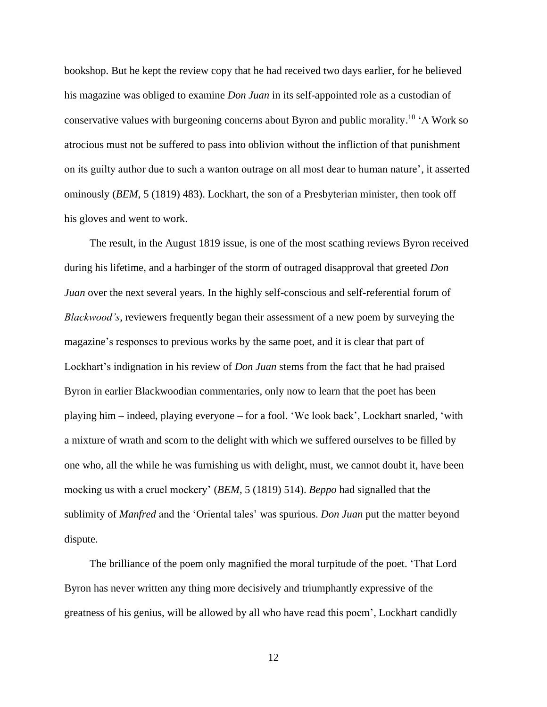bookshop. But he kept the review copy that he had received two days earlier, for he believed his magazine was obliged to examine *Don Juan* in its self-appointed role as a custodian of conservative values with burgeoning concerns about Byron and public morality.<sup>10</sup> 'A Work so atrocious must not be suffered to pass into oblivion without the infliction of that punishment on its guilty author due to such a wanton outrage on all most dear to human nature', it asserted ominously (*BEM*, 5 (1819) 483). Lockhart, the son of a Presbyterian minister, then took off his gloves and went to work.

The result, in the August 1819 issue, is one of the most scathing reviews Byron received during his lifetime, and a harbinger of the storm of outraged disapproval that greeted *Don Juan* over the next several years. In the highly self-conscious and self-referential forum of *Blackwood's*, reviewers frequently began their assessment of a new poem by surveying the magazine's responses to previous works by the same poet, and it is clear that part of Lockhart's indignation in his review of *Don Juan* stems from the fact that he had praised Byron in earlier Blackwoodian commentaries, only now to learn that the poet has been playing him – indeed, playing everyone – for a fool. 'We look back', Lockhart snarled, 'with a mixture of wrath and scorn to the delight with which we suffered ourselves to be filled by one who, all the while he was furnishing us with delight, must, we cannot doubt it, have been mocking us with a cruel mockery' (*BEM*, 5 (1819) 514). *Beppo* had signalled that the sublimity of *Manfred* and the 'Oriental tales' was spurious. *Don Juan* put the matter beyond dispute.

The brilliance of the poem only magnified the moral turpitude of the poet. 'That Lord Byron has never written any thing more decisively and triumphantly expressive of the greatness of his genius, will be allowed by all who have read this poem', Lockhart candidly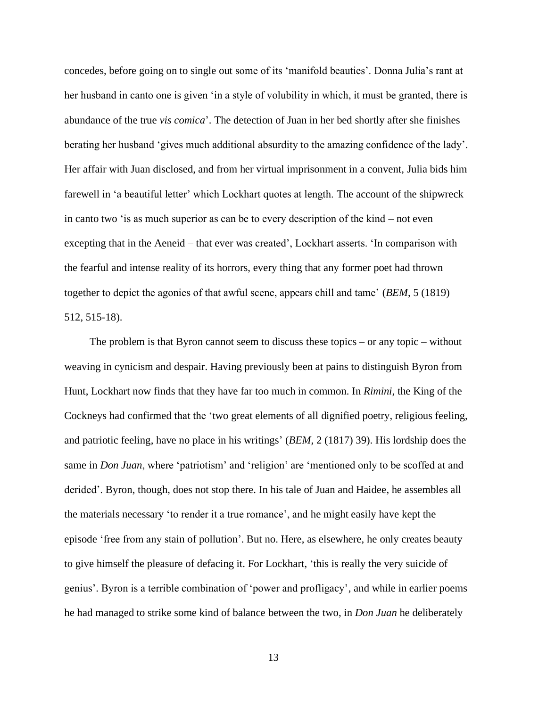concedes, before going on to single out some of its 'manifold beauties'. Donna Julia's rant at her husband in canto one is given 'in a style of volubility in which, it must be granted, there is abundance of the true *vis comica*'. The detection of Juan in her bed shortly after she finishes berating her husband 'gives much additional absurdity to the amazing confidence of the lady'. Her affair with Juan disclosed, and from her virtual imprisonment in a convent, Julia bids him farewell in 'a beautiful letter' which Lockhart quotes at length. The account of the shipwreck in canto two 'is as much superior as can be to every description of the kind – not even excepting that in the Aeneid – that ever was created', Lockhart asserts. 'In comparison with the fearful and intense reality of its horrors, every thing that any former poet had thrown together to depict the agonies of that awful scene, appears chill and tame' (*BEM*, 5 (1819) 512, 515-18).

The problem is that Byron cannot seem to discuss these topics – or any topic – without weaving in cynicism and despair. Having previously been at pains to distinguish Byron from Hunt, Lockhart now finds that they have far too much in common. In *Rimini*, the King of the Cockneys had confirmed that the 'two great elements of all dignified poetry, religious feeling, and patriotic feeling, have no place in his writings' (*BEM*, 2 (1817) 39). His lordship does the same in *Don Juan*, where 'patriotism' and 'religion' are 'mentioned only to be scoffed at and derided'. Byron, though, does not stop there. In his tale of Juan and Haidee, he assembles all the materials necessary 'to render it a true romance', and he might easily have kept the episode 'free from any stain of pollution'. But no. Here, as elsewhere, he only creates beauty to give himself the pleasure of defacing it. For Lockhart, 'this is really the very suicide of genius'. Byron is a terrible combination of 'power and profligacy', and while in earlier poems he had managed to strike some kind of balance between the two, in *Don Juan* he deliberately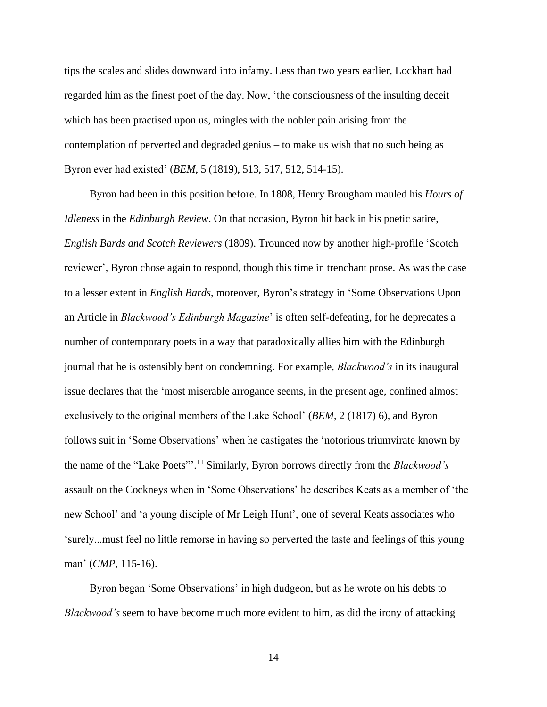tips the scales and slides downward into infamy. Less than two years earlier, Lockhart had regarded him as the finest poet of the day. Now, 'the consciousness of the insulting deceit which has been practised upon us, mingles with the nobler pain arising from the contemplation of perverted and degraded genius – to make us wish that no such being as Byron ever had existed' (*BEM*, 5 (1819), 513, 517, 512, 514-15).

Byron had been in this position before. In 1808, Henry Brougham mauled his *Hours of Idleness* in the *Edinburgh Review*. On that occasion, Byron hit back in his poetic satire, *English Bards and Scotch Reviewers* (1809). Trounced now by another high-profile 'Scotch reviewer', Byron chose again to respond, though this time in trenchant prose. As was the case to a lesser extent in *English Bards*, moreover, Byron's strategy in 'Some Observations Upon an Article in *Blackwood's Edinburgh Magazine*' is often self-defeating, for he deprecates a number of contemporary poets in a way that paradoxically allies him with the Edinburgh journal that he is ostensibly bent on condemning. For example, *Blackwood's* in its inaugural issue declares that the 'most miserable arrogance seems, in the present age, confined almost exclusively to the original members of the Lake School' (*BEM*, 2 (1817) 6), and Byron follows suit in 'Some Observations' when he castigates the 'notorious triumvirate known by the name of the "Lake Poets"'. <sup>11</sup> Similarly, Byron borrows directly from the *Blackwood's*  assault on the Cockneys when in 'Some Observations' he describes Keats as a member of 'the new School' and 'a young disciple of Mr Leigh Hunt', one of several Keats associates who 'surely...must feel no little remorse in having so perverted the taste and feelings of this young man' (*CMP*, 115-16).

Byron began 'Some Observations' in high dudgeon, but as he wrote on his debts to *Blackwood's* seem to have become much more evident to him, as did the irony of attacking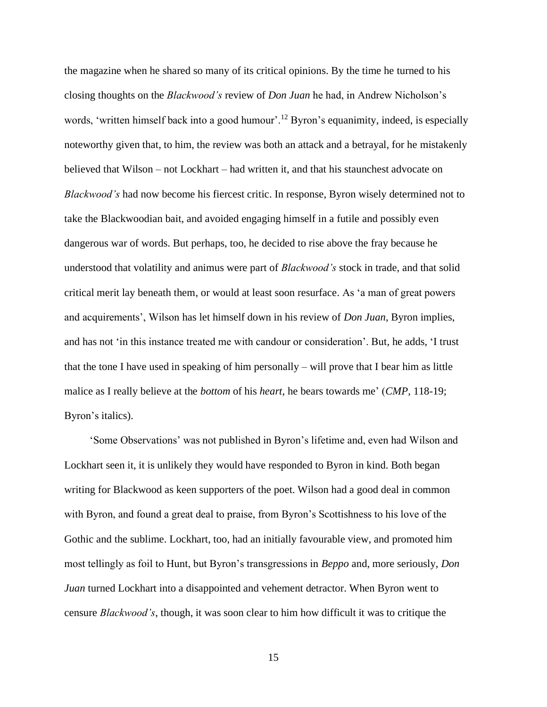the magazine when he shared so many of its critical opinions. By the time he turned to his closing thoughts on the *Blackwood's* review of *Don Juan* he had, in Andrew Nicholson's words, 'written himself back into a good humour'.<sup>12</sup> Byron's equanimity, indeed, is especially noteworthy given that, to him, the review was both an attack and a betrayal, for he mistakenly believed that Wilson – not Lockhart – had written it, and that his staunchest advocate on *Blackwood's* had now become his fiercest critic. In response, Byron wisely determined not to take the Blackwoodian bait, and avoided engaging himself in a futile and possibly even dangerous war of words. But perhaps, too, he decided to rise above the fray because he understood that volatility and animus were part of *Blackwood's* stock in trade, and that solid critical merit lay beneath them, or would at least soon resurface. As 'a man of great powers and acquirements', Wilson has let himself down in his review of *Don Juan*, Byron implies, and has not 'in this instance treated me with candour or consideration'. But, he adds, 'I trust that the tone I have used in speaking of him personally – will prove that I bear him as little malice as I really believe at the *bottom* of his *heart*, he bears towards me' (*CMP*, 118-19; Byron's italics).

'Some Observations' was not published in Byron's lifetime and, even had Wilson and Lockhart seen it, it is unlikely they would have responded to Byron in kind. Both began writing for Blackwood as keen supporters of the poet. Wilson had a good deal in common with Byron, and found a great deal to praise, from Byron's Scottishness to his love of the Gothic and the sublime. Lockhart, too, had an initially favourable view, and promoted him most tellingly as foil to Hunt, but Byron's transgressions in *Beppo* and, more seriously, *Don Juan* turned Lockhart into a disappointed and vehement detractor. When Byron went to censure *Blackwood's*, though, it was soon clear to him how difficult it was to critique the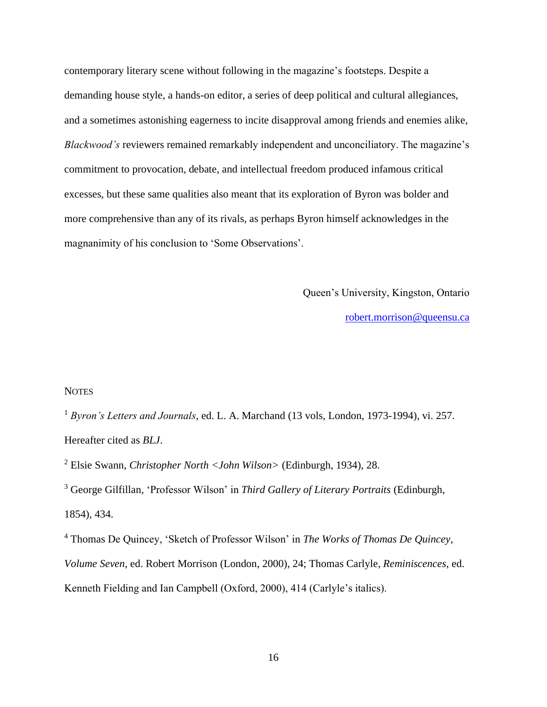contemporary literary scene without following in the magazine's footsteps. Despite a demanding house style, a hands-on editor, a series of deep political and cultural allegiances, and a sometimes astonishing eagerness to incite disapproval among friends and enemies alike, *Blackwood's* reviewers remained remarkably independent and unconciliatory. The magazine's commitment to provocation, debate, and intellectual freedom produced infamous critical excesses, but these same qualities also meant that its exploration of Byron was bolder and more comprehensive than any of its rivals, as perhaps Byron himself acknowledges in the magnanimity of his conclusion to 'Some Observations'.

Queen's University, Kingston, Ontario

[robert.morrison@queensu.ca](mailto:robert.morrison@queensu.ca)

#### **NOTES**

<sup>1</sup> *Byron's Letters and Journals*, ed. L. A. Marchand (13 vols, London, 1973-1994), vi. 257. Hereafter cited as *BLJ*.

<sup>2</sup> Elsie Swann, *Christopher North <John Wilson>* (Edinburgh, 1934), 28.

<sup>3</sup> George Gilfillan, 'Professor Wilson' in *Third Gallery of Literary Portraits* (Edinburgh, 1854), 434.

<sup>4</sup> Thomas De Quincey, 'Sketch of Professor Wilson' in *The Works of Thomas De Quincey, Volume Seven*, ed. Robert Morrison (London, 2000), 24; Thomas Carlyle, *Reminiscences*, ed. Kenneth Fielding and Ian Campbell (Oxford, 2000), 414 (Carlyle's italics).